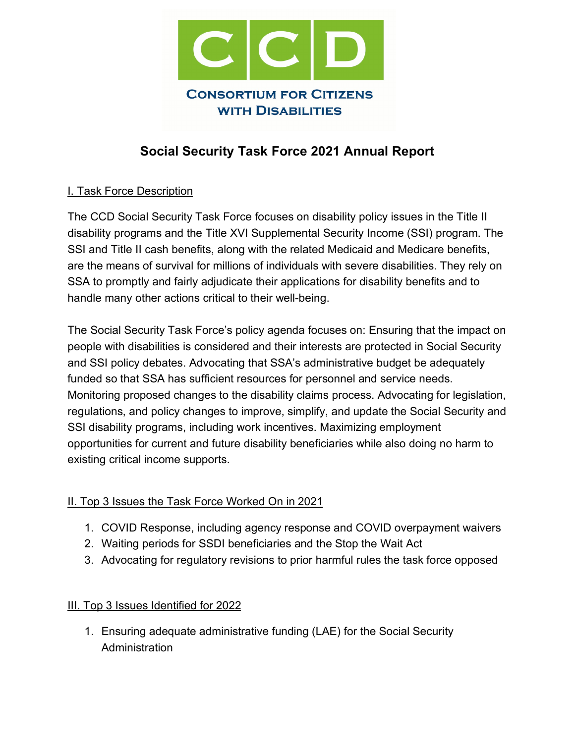

# **Social Security Task Force 2021 Annual Report**

## I. Task Force Description

The CCD Social Security Task Force focuses on disability policy issues in the Title II disability programs and the Title XVI Supplemental Security Income (SSI) program. The SSI and Title II cash benefits, along with the related Medicaid and Medicare benefits, are the means of survival for millions of individuals with severe disabilities. They rely on SSA to promptly and fairly adjudicate their applications for disability benefits and to handle many other actions critical to their well-being.

The Social Security Task Force's policy agenda focuses on: Ensuring that the impact on people with disabilities is considered and their interests are protected in Social Security and SSI policy debates. Advocating that SSA's administrative budget be adequately funded so that SSA has sufficient resources for personnel and service needs. Monitoring proposed changes to the disability claims process. Advocating for legislation, regulations, and policy changes to improve, simplify, and update the Social Security and SSI disability programs, including work incentives. Maximizing employment opportunities for current and future disability beneficiaries while also doing no harm to existing critical income supports.

## II. Top 3 Issues the Task Force Worked On in 2021

- 1. COVID Response, including agency response and COVID overpayment waivers
- 2. Waiting periods for SSDI beneficiaries and the Stop the Wait Act
- 3. Advocating for regulatory revisions to prior harmful rules the task force opposed

#### III. Top 3 Issues Identified for 2022

1. Ensuring adequate administrative funding (LAE) for the Social Security Administration